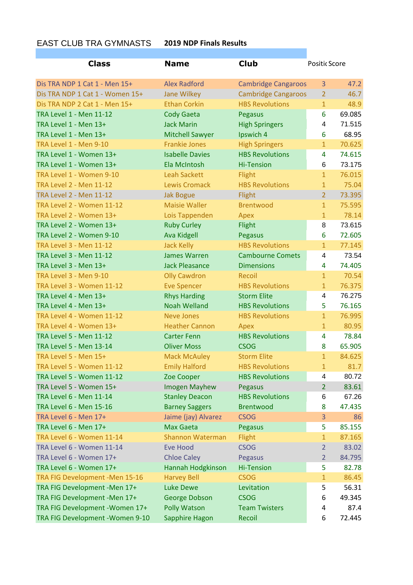## EAST CLUB TRA GYMNASTS **2019 NDP Finals Results**

| <b>Class</b>                     | <b>Name</b>             | <b>Club</b>                | Positic Score  |        |
|----------------------------------|-------------------------|----------------------------|----------------|--------|
| Dis TRA NDP 1 Cat 1 - Men 15+    | <b>Alex Radford</b>     | <b>Cambridge Cangaroos</b> | 3              | 47.2   |
| Dis TRA NDP 1 Cat 1 - Women 15+  | <b>Jane Wilkey</b>      | <b>Cambridge Cangaroos</b> | $\overline{2}$ | 46.7   |
| Dis TRA NDP 2 Cat 1 - Men 15+    | <b>Ethan Corkin</b>     | <b>HBS Revolutions</b>     | $\mathbf{1}$   | 48.9   |
| <b>TRA Level 1 - Men 11-12</b>   | <b>Cody Gaeta</b>       | Pegasus                    | 6              | 69.085 |
| TRA Level 1 - Men 13+            | <b>Jack Marin</b>       | <b>High Springers</b>      | 4              | 71.515 |
| TRA Level 1 - Men 13+            | <b>Mitchell Sawyer</b>  | Ipswich 4                  | 6              | 68.95  |
| <b>TRA Level 1 - Men 9-10</b>    | <b>Frankie Jones</b>    | <b>High Springers</b>      | $\mathbf{1}$   | 70.625 |
| TRA Level 1 - Women 13+          | <b>Isabelle Davies</b>  | <b>HBS Revolutions</b>     | 4              | 74.615 |
| TRA Level 1 - Women 13+          | Ela McIntosh            | <b>Hi-Tension</b>          | 6              | 73.175 |
| TRA Level 1 - Women 9-10         | <b>Leah Sackett</b>     | Flight                     | $\mathbf{1}$   | 76.015 |
| <b>TRA Level 2 - Men 11-12</b>   | <b>Lewis Cromack</b>    | <b>HBS Revolutions</b>     | $\overline{1}$ | 75.04  |
| <b>TRA Level 2 - Men 11-12</b>   | <b>Jak Bogue</b>        | Flight                     | $\overline{2}$ | 73.395 |
| TRA Level 2 - Women 11-12        | <b>Maisie Waller</b>    | <b>Brentwood</b>           | $\mathbf{1}$   | 75.595 |
| TRA Level 2 - Women 13+          | Lois Tappenden          | Apex                       | $\mathbf{1}$   | 78.14  |
| TRA Level 2 - Women 13+          | <b>Ruby Curley</b>      | Flight                     | 8              | 73.615 |
| TRA Level 2 - Women 9-10         | <b>Ava Kidgell</b>      | Pegasus                    | 6              | 72.605 |
| <b>TRA Level 3 - Men 11-12</b>   | <b>Jack Kelly</b>       | <b>HBS Revolutions</b>     | $\mathbf{1}$   | 77.145 |
| <b>TRA Level 3 - Men 11-12</b>   | <b>James Warren</b>     | <b>Cambourne Comets</b>    | $\overline{4}$ | 73.54  |
| TRA Level 3 - Men 13+            | <b>Jack Pleasance</b>   | <b>Dimensions</b>          | 4              | 74.405 |
| TRA Level 3 - Men 9-10           | <b>Olly Cawdron</b>     | Recoil                     | $\mathbf{1}$   | 70.54  |
| <b>TRA Level 3 - Women 11-12</b> | <b>Eve Spencer</b>      | <b>HBS Revolutions</b>     | $\mathbf{1}$   | 76.375 |
| TRA Level 4 - Men 13+            | <b>Rhys Harding</b>     | <b>Storm Elite</b>         | 4              | 76.275 |
| TRA Level 4 - Men 13+            | <b>Noah Welland</b>     | <b>HBS Revolutions</b>     | 5              | 76.165 |
| TRA Level 4 - Women 11-12        | <b>Neve Jones</b>       | <b>HBS Revolutions</b>     | $\mathbf{1}$   | 76.995 |
| TRA Level 4 - Women 13+          | <b>Heather Cannon</b>   | Apex                       | $\mathbf{1}$   | 80.95  |
| <b>TRA Level 5 - Men 11-12</b>   | <b>Carter Fenn</b>      | <b>HBS Revolutions</b>     | 4              | 78.84  |
| TRA Level 5 - Men 13-14          | <b>Oliver Moss</b>      | <b>CSOG</b>                | 8              | 65.905 |
| TRA Level 5 - Men 15+            | <b>Mack McAuley</b>     | <b>Storm Elite</b>         | $\mathbf{1}$   | 84.625 |
| <b>TRA Level 5 - Women 11-12</b> | <b>Emily Halford</b>    | <b>HBS Revolutions</b>     | $\mathbf{1}$   | 81.7   |
| TRA Level 5 - Women 11-12        | Zoe Cooper              | <b>HBS Revolutions</b>     | 4              | 80.72  |
| TRA Level 5 - Women 15+          | <b>Imogen Mayhew</b>    | Pegasus                    | $\overline{2}$ | 83.61  |
| TRA Level 6 - Men 11-14          | <b>Stanley Deacon</b>   | <b>HBS Revolutions</b>     | 6              | 67.26  |
| TRA Level 6 - Men 15-16          | <b>Barney Saggers</b>   | <b>Brentwood</b>           | 8              | 47.435 |
| TRA Level 6 - Men 17+            | Jaime (jay) Alvarez     | <b>CSOG</b>                | 3              | 86     |
| TRA Level 6 - Men 17+            | <b>Max Gaeta</b>        | Pegasus                    | 5              | 85.155 |
| <b>TRA Level 6 - Women 11-14</b> | <b>Shannon Waterman</b> | Flight                     | $\mathbf{1}$   | 87.165 |
| TRA Level 6 - Women 11-14        | <b>Eve Hood</b>         | <b>CSOG</b>                | $\overline{2}$ | 83.02  |
| TRA Level 6 - Women 17+          | <b>Chloe Caley</b>      | Pegasus                    | 2              | 84.795 |
| TRA Level 6 - Women 17+          | Hannah Hodgkinson       | <b>Hi-Tension</b>          | 5              | 82.78  |
| TRA FIG Development - Men 15-16  | <b>Harvey Bell</b>      | <b>CSOG</b>                | 1              | 86.45  |
| TRA FIG Development - Men 17+    | <b>Luke Dewe</b>        | Levitation                 | 5              | 56.31  |
| TRA FIG Development - Men 17+    | George Dobson           | <b>CSOG</b>                | 6              | 49.345 |
| TRA FIG Development - Women 17+  | <b>Polly Watson</b>     | <b>Team Twisters</b>       | 4              | 87.4   |
| TRA FIG Development - Women 9-10 | Sapphire Hagon          | Recoil                     | 6              | 72.445 |